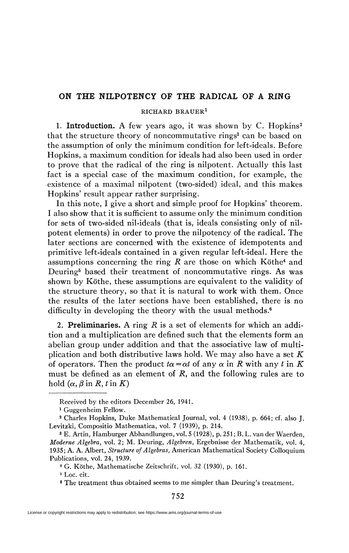## **ON THE NILPOTENCY OF THE RADICAL OF A RING**

## RICHARD BRAUER<sup>1</sup>

1. Introduction. A few years ago, it was shown by C. Hopkins<sup>2</sup> that the structure theory of noncommutative rings<sup>3</sup> can be based on the assumption of only the minimum condition for left-ideals. Before Hopkins, a maximum condition for ideals had also been used in order to prove that the radical of the ring is nilpotent. Actually this last fact is a special case of the maximum condition, for example, the existence of a maximal nilpotent (two-sided) ideal, and this makes Hopkins' result appear rather surprising.

In this note, I give a short and simple proof for Hopkins' theorem. I also show that it is sufficient to assume only the minimum condition for sets of two-sided nil-ideals (that is, ideals consisting only of nilpotent elements) in order to prove the nilpotency of the radical. The later sections are concerned with the existence of idempotents and primitive left-ideals contained in a given regular left-ideal. Here the assumptions concerning the ring  $R$  are those on which Köthe<sup>4</sup> and Deuring<sup>5</sup> based their treatment of noncommutative rings. As was shown by Köthe, these assumptions are equivalent to the validity of the structure theory, so that it is natural to work with them. Once the results of the later sections have been established, there is no difficulty in developing the theory with the usual methods.<sup>6</sup>

2. **Preliminaries.** A ring *R* is a set of elements for which an addition and a multiplication are defined such that the elements form an abelian group under addition and that the associative law of multiplication and both distributive laws hold. We may also have a set *K*  of operators. Then the product  $t\alpha = \alpha t$  of any  $\alpha$  in R with any t in K must be defined as an element of *R,* and the following rules are to  $h$ old  $(\alpha, \beta \text{ in } R, t \text{ in } K)$ 

Received by the editors December 26, 1941.

<sup>1</sup> Guggenheim Fellow.

<sup>2</sup> Charles Hopkins, Duke Mathematical Journal, vol. 4 (1938), p. 664; cf. also J. Levitzki, Compositio Mathematica, vol. 7 (1939), p. 214.

<sup>3</sup> E. Artin, Hamburger Abhandlungen, vol. 5 (1928), p. 251 ; B. L. van der Waerden, *Moderne Algebra,* vol. 2; M. Deuring, *Algebren,* Ergebnisse der Mathematik, vol. 4, 1935; A. A. Albert, *Structure of Algebras,* American Mathematical Society Colloquium Publications, vol. 24, 1939.

<sup>4</sup> G. Köthe, Mathematische Zeitschrift, vol. 32 (1930), p. 161.

<sup>5</sup> Loc. cit.

<sup>6</sup> The treatment thus obtained seems to me simpler than Deuring's treatment.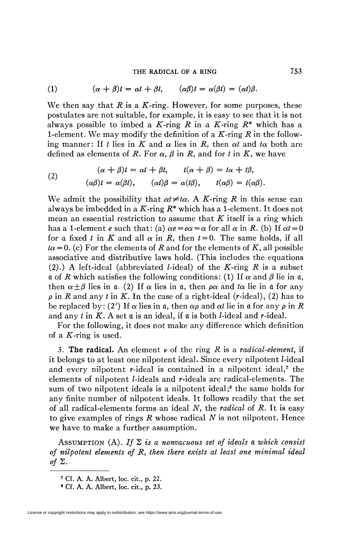## **THE RADICAL OF A RING** 753

(1) 
$$
(\alpha + \beta)t = \alpha t + \beta t, \qquad (\alpha \beta)t = \alpha(\beta t) = (\alpha t)\beta.
$$

We then say that  $R$  is a  $K$ -ring. However, for some purposes, these postulates are not suitable, for example, it is easy to see that it is not always possible to imbed a K-ring R in a K-ring  $R^*$  which has a 1-element. We may modify the definition of a  $K$ -ring  $R$  in the following manner: If t lies in K and  $\alpha$  lies in R, then  $\alpha t$  and  $t\alpha$  both are defined as elements of R. For  $\alpha$ ,  $\beta$  in R, and for t in K, we have

(2) 
$$
(\alpha + \beta)t = \alpha t + \beta t, \qquad t(\alpha + \beta) = t\alpha + t\beta,
$$

$$
(\alpha\beta)t = \alpha(\beta t), \qquad (\alpha t)\beta = \alpha(t\beta), \qquad t(\alpha\beta) = t(\alpha\beta).
$$

We admit the possibility that  $\alpha t \neq t\alpha$ . A K-ring R in this sense can always be imbedded in a K-ring  $R^*$  which has a 1-element. It does not mean an essential restriction to assume that *K* itself is a ring which has a 1-element *e* such that: (a)  $\alpha e = e\alpha = \alpha$  for all  $\alpha$  in R. (b) If  $\alpha t = 0$ for a fixed t in K and all  $\alpha$  in R, then  $t = 0$ . The same holds, if all  $t\alpha = 0$ . (c) For the elements of *R* and for the elements of *K*, all possible associative and distributive laws hold. (This includes the equations (2).) A left-ideal (abbreviated /-ideal) of the *K-ring R* is a subset a of *R* which satisfies the following conditions: (1) If  $\alpha$  and  $\beta$  lie in a, then  $\alpha \pm \beta$  lies in a. (2) If  $\alpha$  lies in a, then  $\rho \alpha$  and  $t\alpha$  lie in a for any  $\rho$  in *R* and any *t* in *K*. In the case of a right-ideal (*r*-ideal), (2) has to be replaced by: (2') If  $\alpha$  lies in  $\mathfrak{a}$ , then  $\alpha \rho$  and  $\alpha t$  lie in  $\mathfrak{a}$  for any  $\rho$  in  $R$ and any *t in K. A* set *a* is an ideal, if a is both /-ideal and r-ideal.

For the following, it does not make any difference which definition of a  $K$ -ring is used.

3. **The radical.** An element *v* of the ring *R* is a *radical-element,* if it belongs to at least one nilpotent ideal. Since every nilpotent /-ideal and every nilpotent  $r$ -ideal is contained in a nilpotent ideal,<sup>7</sup> the elements of nilpotent /-ideals and r-ideals are radical-elements. The sum of two nilpotent ideals is a nilpotent ideal;<sup>8</sup> the same holds for any finite number of nilpotent ideals. It follows readily that the set of all radical-elements forms an ideal *N,* the *radical* of *R.* It is easy to give examples of rings *R* whose radical *N* is not nilpotent. Hence we have to make a further assumption.

ASSUMPTION (A). If  $\Sigma$  is a nonvacuous set of ideals a which consist *of nilpotent elements of R, then there exists at least one minimal ideal*  of  $\Sigma$ .

**<sup>7</sup> Cf. A. A. Albert, loc. cit., p. 22.** 

**<sup>8</sup> Cf. A. A. Albert, loc. cit., p. 23.**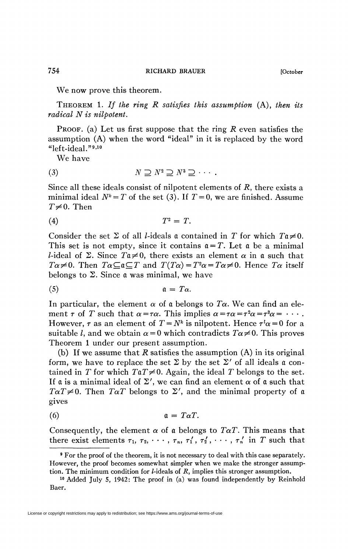We now prove this theorem.

THEOREM 1. *If the ring R satisfies this assumption* (A), *then its radical N is nilpotent.* 

PROOF, (a) Let us first suppose that the ring *R* even satisfies the assumption (A) when the word "ideal" in it is replaced by the word "left-ideal."<sup>9,10</sup>

We have

$$
(3) \t\t\t N \supseteq N^2 \supseteq N^3 \supseteq \cdots.
$$

Since all these ideals consist of nilpotent elements of *R,* there exists a minimal ideal  $N^k = T$  of the set (3). If  $T = 0$ , we are finished. Assume  $T\neq 0$ . Then

$$
(4) \hspace{3.1em} T^2 = T.
$$

Consider the set  $\Sigma$  of all *l*-ideals a contained in *T* for which  $T_0 \neq 0$ . This set is not empty, since it contains  $a = T$ . Let a be a minimal *l*-ideal of  $\Sigma$ . Since  $T\mathfrak{a}\neq 0$ , there exists an element  $\alpha$  in  $\mathfrak{a}$  such that  $T\alpha \neq 0$ . Then  $T\alpha \subseteq \mathfrak{a} \subseteq T$  and  $T(T\alpha) = T^2\alpha = T\alpha \neq 0$ . Hence  $T\alpha$  itself belongs to  $\Sigma$ . Since a was minimal, we have

(5) a = *Ta.* 

In particular, the element  $\alpha$  of a belongs to  $T\alpha$ . We can find an element  $\tau$  of  $T$  such that  $\alpha = \tau \alpha$ . This implies  $\alpha = \tau \alpha = \tau^2 \alpha = \tau^3 \alpha = \cdots$ . However,  $\tau$  as an element of  $T = N^k$  is nilpotent. Hence  $\tau^l \alpha = 0$  for a suitable *l*, and we obtain  $\alpha = 0$  which contradicts  $T\alpha \neq 0$ . This proves Theorem 1 under our present assumption.

(b) If we assume that *R* satisfies the assumption (A) in its original form, we have to replace the set  $\Sigma$  by the set  $\Sigma'$  of all ideals a contained in T for which  $T \notin \mathcal{I} \neq 0$ . Again, the ideal T belongs to the set. If a is a minimal ideal of  $\Sigma'$ , we can find an element  $\alpha$  of a such that  $T\alpha T\neq 0$ . Then  $T\alpha T$  belongs to  $\Sigma'$ , and the minimal property of a gives

(6) a = *TaT.* 

Consequently, the element  $\alpha$  of a belongs to  $TaT$ . This means that there exist elements  $\tau_1$ ,  $\tau_2$ ,  $\cdots$ ,  $\tau_n$ ,  $\tau'_1$ ,  $\tau'_2$ ,  $\cdots$ ,  $\tau'_n$  in T such that

<sup>9</sup> For the proof of the theorem, it is not necessary to deal with this case separately. However, the proof becomes somewhat simpler when we make the stronger assumption. The minimum condition for /-ideals of *R,* implies this stronger assumption.

<sup>10</sup> Added July 5, 1942: The proof in (a) was found independently by Reinhold Baer.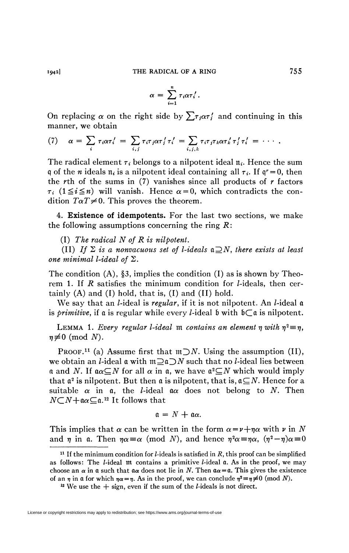$$
\alpha = \sum_{i=1}^n \tau_i \alpha \tau_i'.
$$

On replacing  $\alpha$  on the right side by  $\sum \tau_i \alpha \tau'_i$  and continuing in this manner, we obtain

(7) 
$$
\alpha = \sum_i \tau_i \alpha \tau'_i = \sum_{i,j} \tau_i \tau_j \alpha \tau'_j \tau'_i = \sum_{i,j,k} \tau_i \tau_j \tau_k \alpha \tau'_k \tau'_j \tau'_i = \cdots
$$

The radical element  $\tau_i$  belongs to a nilpotent ideal  $\pi_i$ . Hence the sum q of the *n* ideals  $\pi_i$  is a nilpotent ideal containing all  $\tau_i$ . If  $q^r = 0$ , then the *rth* of the sums in (7) vanishes since all products of *r* factors  $\tau_i$  ( $1 \leq i \leq n$ ) will vanish. Hence  $\alpha = 0$ , which contradicts the condition  $T\alpha T\neq 0$ . This proves the theorem.

4. **Existence of idempotents.** For the last two sections, we make the following assumptions concerning the ring *R:* 

(I) *The radical N of R is nilpotent.* 

(II) If  $\Sigma$  is a nonvacuous set of *l*-ideals  $\mathfrak{a} \supseteq N$ *, there exists at least one minimal l-ideal of* S.

The condition  $(A)$ , §3, implies the condition  $(I)$  as is shown by Theorem 1. If  $R$  satisfies the minimum condition for  $l$ -ideals, then certainly  $(A)$  and  $(I)$  hold, that is,  $(I)$  and  $(II)$  hold.

We say that an *l*-ideal is *regular*, if it is not nilpotent. An *l*-ideal **a** is *primitive*, if a is regular while every *l*-ideal  $\mathfrak b$  with  $\mathfrak b \subset \mathfrak a$  is nilpotent.

LEMMA 1. Every regular l-ideal  $m$  contains an element  $\eta$  with  $\eta^2 \equiv \eta$ ,  $n \neq 0$  (mod N).

PROOF.<sup>11</sup> (a) Assume first that  $m\supset N$ . Using the assumption (II), we obtain an *l*-ideal **a** with  $m \supseteq a$   $\supseteq N$  such that no *l*-ideal lies between a and N. If  $a\alpha \subseteq N$  for all  $\alpha$  in a, we have  $a^2 \subseteq N$  which would imply that  $\mathfrak{a}^2$  is nilpotent. But then  $\mathfrak{a}$  is nilpotent, that is,  $\mathfrak{a} \subseteq N$ . Hence for a suitable  $\alpha$  in  $\alpha$ , the *l*-ideal  $\alpha\alpha$  does not belong to *N*. Then  $N\text{-}N+$  $\alpha\text{-}a$ .<sup>12</sup> It follows that

$$
\mathfrak{a}=N+\mathfrak{a}\alpha.
$$

This implies that  $\alpha$  can be written in the form  $\alpha = \nu + \eta \alpha$  with  $\nu$  in N and  $\eta$  in a. Then  $\eta \alpha \equiv \alpha$  (mod *N*), and hence  $\eta^2 \alpha \equiv \eta \alpha$ ,  $(\eta^2 - \eta) \alpha \equiv 0$ 

<sup>11</sup> If the minimum condition for /-ideals is satisfied in *R,* this proof can be simplified as follows: The  $l$ -ideal  $m$  contains a primitive  $l$ -ideal  $\alpha$ . As in the proof, we may choose an  $\alpha$  in  $\alpha$  such that  $\alpha\alpha$  does not lie in N. Then  $\alpha\alpha = \alpha$ . This gives the existence of an  $\eta$  in  $\alpha$  for which  $\eta \alpha = \eta$ . As in the proof, we can conclude  $\eta^2 \equiv \eta \not\equiv 0 \pmod{N}$ .

<sup>&</sup>lt;sup>12</sup> We use the  $+$  sign, even if the sum of the *l*-ideals is not direct.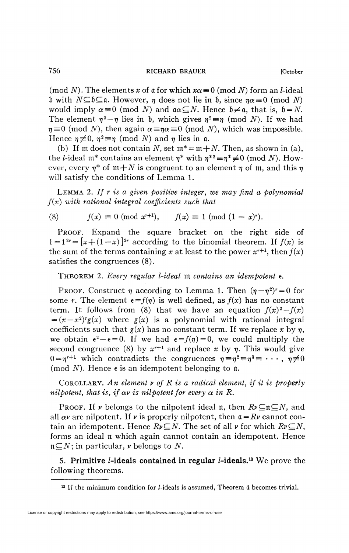756 RICHARD BRAUER [October

(mod N). The elements x of a for which  $x\alpha \equiv 0 \pmod{N}$  form an *l*-ideal b with  $N \subseteq b \subseteq a$ . However,  $\eta$  does not lie in b, since  $\eta \alpha \equiv 0 \pmod{N}$ would imply  $\alpha \equiv 0 \pmod{N}$  and  $\alpha \subseteq N$ . Hence  $\beta \neq \alpha$ , that is,  $\beta = N$ . The element  $\eta^2 - \eta$  lies in b, which gives  $\eta^2 \equiv \eta \pmod{N}$ . If we had  $\eta \equiv 0 \pmod{N}$ , then again  $\alpha \equiv \eta \alpha \equiv 0 \pmod{N}$ , which was impossible.

Hence  $\eta \neq 0$ ,  $\eta^2 \equiv \eta \pmod{N}$  and  $\eta$  lies in  $\mathfrak{a}$ . (b) If m does not contain N, set  $m^* = m + N$ . Then, as shown in (a), the *l*-ideal  $m^*$  contains an element  $\eta^*$  with  $\eta^{*2} \equiv \eta^* \neq 0$  (mod *N*). However, every  $\eta^*$  of  $m+N$  is congruent to an element  $\eta$  of m, and this  $\eta$ will satisfy the conditions of Lemma 1.

LEMMA 2. *If r is a given positive integer, we may find a polynomial f(x) with rational integral coefficients such that* 

(8) 
$$
f(x) \equiv 0 \pmod{x^{r+1}}, \quad f(x) \equiv 1 \pmod{(1-x)^r}.
$$

PROOF. Expand the square bracket on the right side of  $1 = 1^{2r} = [x + (1-x)]^{2r}$  according to the binomial theorem. If  $f(x)$  is the sum of the terms containing x at least to the power  $x^{r+1}$ , then  $f(x)$ satisfies the congruences (8).

THEOREM 2. *Every regular l-ideal* m *contains an idempotent* e.

PROOF. Construct  $\eta$  according to Lemma 1. Then  $(\eta - \eta^2)^r = 0$  for some *r*. The element  $\epsilon = f(\eta)$  is well defined, as  $f(x)$  has no constant term. It follows from (8) that we have an equation  $f(x)^2 - f(x)$  $=(x-x^2)^{r}g(x)$  where  $g(x)$  is a polynomial with rational integral coefficients such that  $g(x)$  has no constant term. If we replace x by  $\eta$ , we obtain  $\epsilon^2 - \epsilon = 0$ . If we had  $\epsilon = f(\eta) = 0$ , we could multiply the second congruence (8) by  $x^{r+1}$  and replace x by  $\eta$ . This would give  $0 = \eta^{r+1}$  which contradicts the congruences  $\eta = \eta^2 = \eta^3 = \cdots$ ,  $\eta \neq 0$ (mod  $N$ ). Hence  $\epsilon$  is an idempotent belonging to  $\mathfrak a$ .

COROLLARY. *An element v of R is a radical element, if it is properly nilpotent, that is, if*  $\alpha v$  *is nilpotent for every*  $\alpha$  *in R.* 

PROOF. If  $\nu$  belongs to the nilpotent ideal n, then  $R\nu\subseteq \mathfrak{n}\subseteq N$ , and all  $\alpha \nu$  are nilpotent. If  $\nu$  is properly nilpotent, then  $\alpha = R\nu$  cannot contain an idempotent. Hence  $Rv\subseteq N$ . The set of all  $\nu$  for which  $Rv\subseteq N$ , forms an ideal n which again cannot contain an idempotent. Hence  $n\subseteq N$ ; in particular, *v* belongs to *N*.

5. **Primitive /-ideals contained in regular /-ideals.<sup>13</sup>** We prove the following theorems.

<sup>&</sup>lt;sup>13</sup> If the minimum condition for *l*-ideals is assumed, Theorem 4 becomes trivial.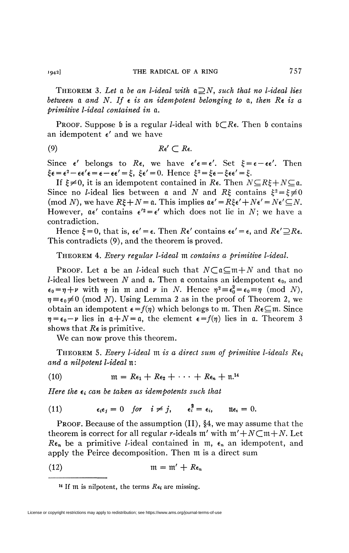THEOREM 3. Let a be an l-ideal with  $a \supseteq N$ , such that no l-ideal lies *between* a *and N. If e is an idempotent belonging to* a, *then Re is a primitive l-ideal contained in* a.

**PROOF.** Suppose **b** is a regular *l*-ideal with  $b \subset R$ . Then **b** contains an idempotent *e'* and we have

(9) *Re'* C *Re.* 

Since  $\epsilon'$  belongs to  $\mathbb{R}\epsilon$ , we have  $\epsilon' \epsilon = \epsilon'$ . Set  $\xi = \epsilon - \epsilon \epsilon'$ . Then  $\xi \epsilon = \epsilon^2 - \epsilon \epsilon' \epsilon = \epsilon - \epsilon \epsilon' = \xi$ ,  $\xi \epsilon' = 0$ . Hence  $\xi^2 = \xi \epsilon - \xi \epsilon \epsilon' = \xi$ .

If  $\xi \neq 0$ , it is an idempotent contained in Re. Then  $N \subseteq R\xi + N \subseteq \mathfrak{a}$ . Since no *l*-ideal lies between a and N and R $\xi$  contains  $\xi^2 = \xi \neq 0$ (mod N), we have  $R\xi + N = \mathfrak{a}$ . This implies  $\mathfrak{a}\epsilon' = R\xi \epsilon' + N\epsilon' = N\epsilon' \subseteq N$ . However,  $\alpha \epsilon'$  contains  $\epsilon'^2 = \epsilon'$  which does not lie in *N*; we have a contradiction.

Hence  $\xi = 0$ , that is,  $\epsilon \epsilon' = \epsilon$ . Then  $R\epsilon'$  contains  $\epsilon \epsilon' = \epsilon$ , and  $R\epsilon' \supseteq R\epsilon$ . This contradicts (9), and the theorem is proved.

THEOREM 4. *Every regular l-ideal* m *contains a primitive l-ideal.* 

**PROOF.** Let a be an *l*-ideal such that  $N \subset \mathfrak{a} \subseteq \mathfrak{m} + N$  and that no *l*-ideal lies between N and a. Then a contains an idempotent  $\epsilon_0$ , and  $\epsilon_0 = \eta + \nu$  with  $\eta$  in m and  $\nu$  in N. Hence  $\eta^2 \equiv \epsilon_0^2 = \epsilon_0 \equiv \eta \pmod{N}$ ,  $\eta \equiv \epsilon_0 \neq 0$  (mod *N*). Using Lemma 2 as in the proof of Theorem 2, we obtain an idempotent  $\epsilon = f(\eta)$  which belongs to m. Then  $R\epsilon\subseteq$ m. Since  $\eta = \epsilon_0 - \nu$  lies in  $\alpha + N = \alpha$ , the element  $\epsilon = f(\eta)$  lies in  $\alpha$ . Theorem 3 shows that *Re* is primitive.

We can now prove this theorem.

THEOREM 5. *Every l-ideal m is a direct sum of primitive l-ideals Rei and a nilpotent l-ideal* n:

(10) 
$$
\mathfrak{m} = R\epsilon_1 + R\epsilon_2 + \cdots + R\epsilon_n + \mathfrak{n}^{14}
$$

*Here the*  $\epsilon_i$  can be taken as idempotents such that

(11) 
$$
\epsilon_i \epsilon_j = 0 \quad \text{for} \quad i \neq j, \qquad \epsilon_i^2 = \epsilon_i, \qquad \text{if } \epsilon_i = 0.
$$

PROOF. Because of the assumption (II), §4, we may assume that the theorem is correct for all regular *r*-ideals m' with  $m'+N\subset m+N$ . Let  $R\epsilon_n$  be a primitive *l*-ideal contained in m,  $\epsilon_n$  an idempotent, and apply the Peirce decomposition. Then m is a direct sum

$$
(12) \t m = m' + R\epsilon_n
$$

<sup>14</sup> If  $m$  is nilpotent, the terms  $R\epsilon_i$  are missing.